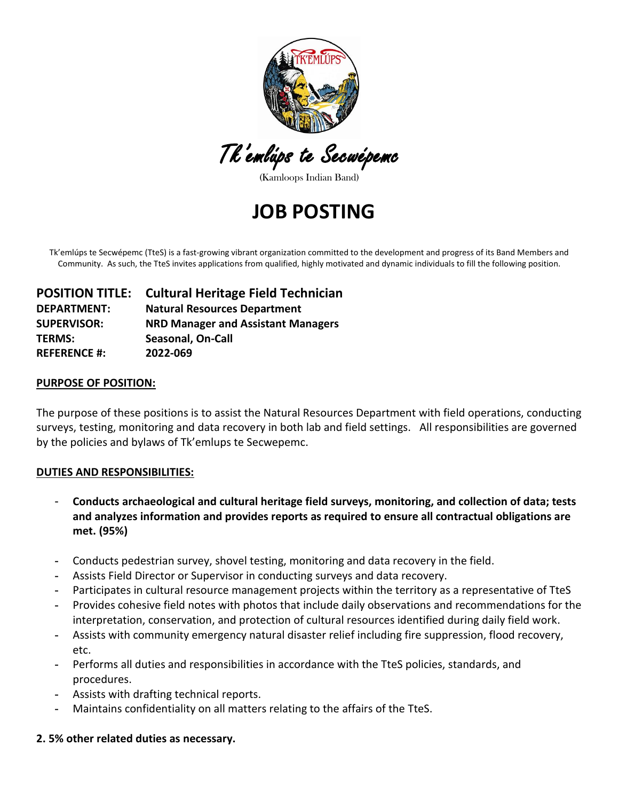

Tk'emlúps te Secwépemc

(Kamloops Indian Band)

**JOB POSTING**

Tk'emlúps te Secwépemc (TteS) is a fast-growing vibrant organization committed to the development and progress of its Band Members and Community. As such, the TteS invites applications from qualified, highly motivated and dynamic individuals to fill the following position.

|                     | <b>POSITION TITLE:</b> Cultural Heritage Field Technician |
|---------------------|-----------------------------------------------------------|
| <b>DEPARTMENT:</b>  | <b>Natural Resources Department</b>                       |
| <b>SUPERVISOR:</b>  | <b>NRD Manager and Assistant Managers</b>                 |
| <b>TERMS:</b>       | <b>Seasonal, On-Call</b>                                  |
| <b>REFERENCE #:</b> | 2022-069                                                  |

### **PURPOSE OF POSITION:**

The purpose of these positions is to assist the Natural Resources Department with field operations, conducting surveys, testing, monitoring and data recovery in both lab and field settings. All responsibilities are governed by the policies and bylaws of Tk'emlups te Secwepemc.

### **DUTIES AND RESPONSIBILITIES:**

- **Conducts archaeological and cultural heritage field surveys, monitoring, and collection of data; tests and analyzes information and provides reports as required to ensure all contractual obligations are met. (95%)**
- **-** Conducts pedestrian survey, shovel testing, monitoring and data recovery in the field.
- **-** Assists Field Director or Supervisor in conducting surveys and data recovery.
- **-** Participates in cultural resource management projects within the territory as a representative of TteS
- **-** Provides cohesive field notes with photos that include daily observations and recommendations for the interpretation, conservation, and protection of cultural resources identified during daily field work.
- **-** Assists with community emergency natural disaster relief including fire suppression, flood recovery, etc.
- **-** Performs all duties and responsibilities in accordance with the TteS policies, standards, and procedures.
- **-** Assists with drafting technical reports.
- **-** Maintains confidentiality on all matters relating to the affairs of the TteS.

## **2. 5% other related duties as necessary.**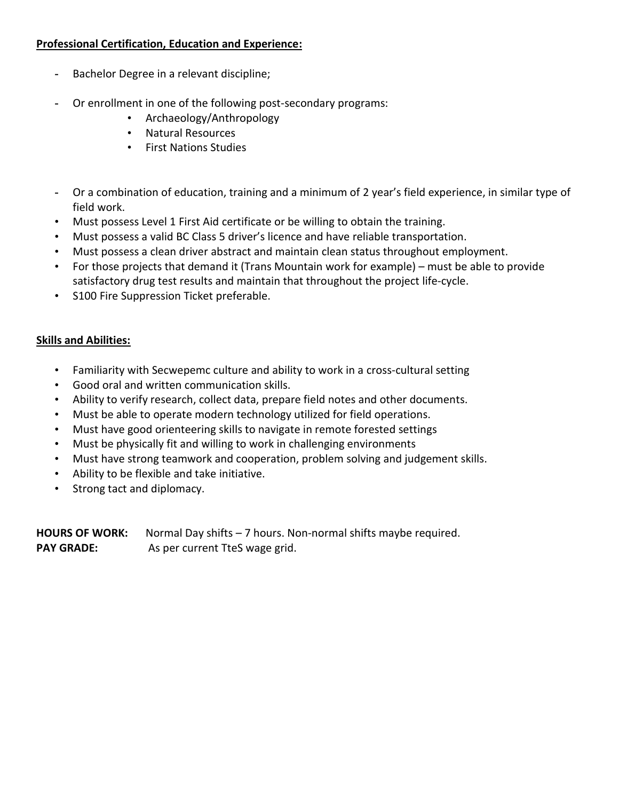# **Professional Certification, Education and Experience:**

- **-** Bachelor Degree in a relevant discipline;
- **-** Or enrollment in one of the following post-secondary programs:
	- Archaeology/Anthropology
	- Natural Resources
	- First Nations Studies
- **-** Or a combination of education, training and a minimum of 2 year's field experience, in similar type of field work.
- Must possess Level 1 First Aid certificate or be willing to obtain the training.
- Must possess a valid BC Class 5 driver's licence and have reliable transportation.
- Must possess a clean driver abstract and maintain clean status throughout employment.
- For those projects that demand it (Trans Mountain work for example) must be able to provide satisfactory drug test results and maintain that throughout the project life-cycle.
- S100 Fire Suppression Ticket preferable.

## **Skills and Abilities:**

- Familiarity with Secwepemc culture and ability to work in a cross-cultural setting
- Good oral and written communication skills.
- Ability to verify research, collect data, prepare field notes and other documents.
- Must be able to operate modern technology utilized for field operations.
- Must have good orienteering skills to navigate in remote forested settings
- Must be physically fit and willing to work in challenging environments
- Must have strong teamwork and cooperation, problem solving and judgement skills.
- Ability to be flexible and take initiative.
- Strong tact and diplomacy.

**HOURS OF WORK:** Normal Day shifts – 7 hours. Non-normal shifts maybe required. PAY GRADE: As per current TteS wage grid.